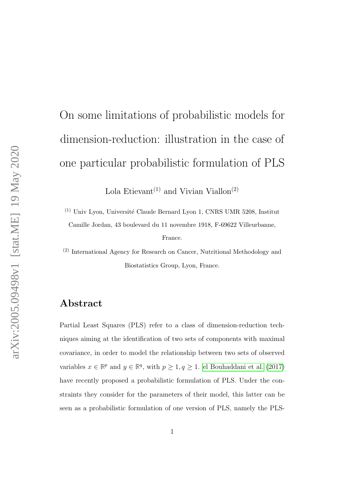# On some limitations of probabilistic models for dimension-reduction: illustration in the case of one particular probabilistic formulation of PLS

Lola Etievant<sup>(1)</sup> and Vivian Viallon<sup>(2)</sup>

 $^{(1)}$ Univ Lyon, Université Claude Bernard Lyon 1, CNRS UMR 5208, Institut Camille Jordan, 43 boulevard du 11 novembre 1918, F-69622 Villeurbanne, France.

(2) International Agency for Research on Cancer, Nutritional Methodology and Biostatistics Group, Lyon, France.

#### Abstract

Partial Least Squares (PLS) refer to a class of dimension-reduction techniques aiming at the identification of two sets of components with maximal covariance, in order to model the relationship between two sets of observed variables  $x \in \mathbb{R}^p$  and  $y \in \mathbb{R}^q$ , with  $p \ge 1$ ,  $q \ge 1$ . [el Bouhaddani et al.](#page-23-0) [\(2017\)](#page-23-0) have recently proposed a probabilistic formulation of PLS. Under the constraints they consider for the parameters of their model, this latter can be seen as a probabilistic formulation of one version of PLS, namely the PLS-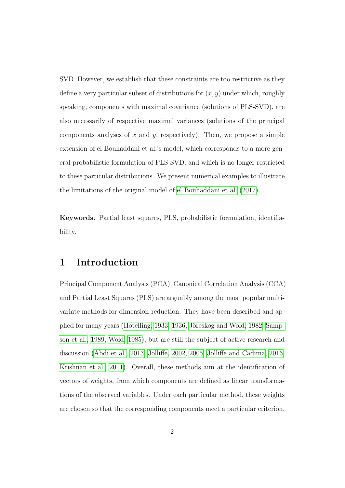SVD. However, we establish that these constraints are too restrictive as they define a very particular subset of distributions for  $(x, y)$  under which, roughly speaking, components with maximal covariance (solutions of PLS-SVD), are also necessarily of respective maximal variances (solutions of the principal components analyses of x and y, respectively). Then, we propose a simple extension of el Bouhaddani et al.'s model, which corresponds to a more general probabilistic formulation of PLS-SVD, and which is no longer restricted to these particular distributions. We present numerical examples to illustrate the limitations of the original model of [el Bouhaddani et al.](#page-23-0) [\(2017\)](#page-23-0).

Keywords. Partial least squares, PLS, probabilistic formulation, identifiability.

#### 1 Introduction

Principal Component Analysis (PCA), Canonical Correlation Analysis (CCA) and Partial Least Squares (PLS) are arguably among the most popular multivariate methods for dimension-reduction. They have been described and ap-plied for many years [\(Hotelling, 1933,](#page-23-1) [1936,](#page-23-2) Jöreskog and Wold, 1982, [Samp](#page-24-1)[son et al., 1989,](#page-24-1) [Wold, 1985\)](#page-25-0), but are still the subject of active research and discussion [\(Abdi et al., 2013,](#page-22-0) [Jolliffe, 2002,](#page-23-3) [2005,](#page-23-4) [Jolliffe and Cadima, 2016,](#page-23-5) [Krishnan et al., 2011\)](#page-24-2). Overall, these methods aim at the identification of vectors of weights, from which components are defined as linear transformations of the observed variables. Under each particular method, these weights are chosen so that the corresponding components meet a particular criterion.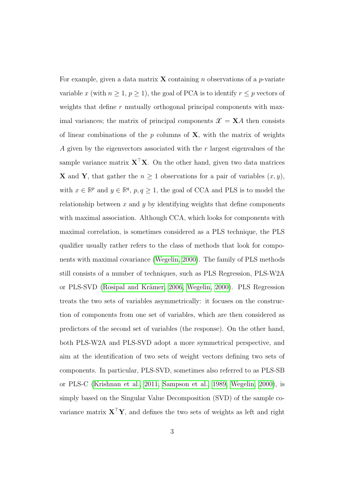For example, given a data matrix **X** containing *n* observations of a *p*-variate variable x (with  $n \ge 1$ ,  $p \ge 1$ ), the goal of PCA is to identify  $r \le p$  vectors of weights that define  $r$  mutually orthogonal principal components with maximal variances; the matrix of principal components  $\mathcal{X} = \mathbf{X}A$  then consists of linear combinations of the  $p$  columns of  $X$ , with the matrix of weights A given by the eigenvectors associated with the r largest eigenvalues of the sample variance matrix  $X^{\top}X$ . On the other hand, given two data matrices **X** and **Y**, that gather the  $n \geq 1$  observations for a pair of variables  $(x, y)$ , with  $x \in \mathbb{R}^p$  and  $y \in \mathbb{R}^q$ ,  $p, q \ge 1$ , the goal of CCA and PLS is to model the relationship between  $x$  and  $y$  by identifying weights that define components with maximal association. Although CCA, which looks for components with maximal correlation, is sometimes considered as a PLS technique, the PLS qualifier usually rather refers to the class of methods that look for components with maximal covariance [\(Wegelin, 2000\)](#page-25-1). The family of PLS methods still consists of a number of techniques, such as PLS Regression, PLS-W2A or PLS-SVD (Rosipal and Krämer, 2006, [Wegelin, 2000\)](#page-25-1). PLS Regression treats the two sets of variables asymmetrically: it focuses on the construction of components from one set of variables, which are then considered as predictors of the second set of variables (the response). On the other hand, both PLS-W2A and PLS-SVD adopt a more symmetrical perspective, and aim at the identification of two sets of weight vectors defining two sets of components. In particular, PLS-SVD, sometimes also referred to as PLS-SB or PLS-C [\(Krishnan et al., 2011,](#page-24-2) [Sampson et al., 1989,](#page-24-1) [Wegelin, 2000\)](#page-25-1), is simply based on the Singular Value Decomposition (SVD) of the sample covariance matrix  $X^{\top}Y$ , and defines the two sets of weights as left and right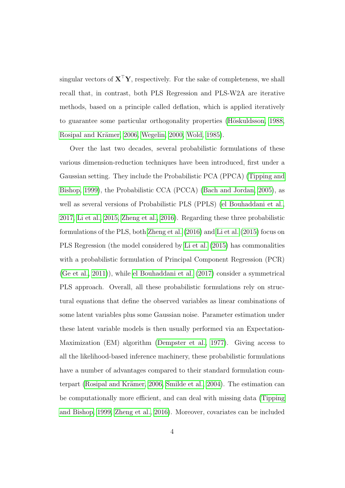singular vectors of  $X^{\top}Y$ , respectively. For the sake of completeness, we shall recall that, in contrast, both PLS Regression and PLS-W2A are iterative methods, based on a principle called deflation, which is applied iteratively to guarantee some particular orthogonality properties (Höskuldsson, 1988, Rosipal and Krämer, 2006, [Wegelin, 2000,](#page-25-1) [Wold, 1985\)](#page-25-0).

Over the last two decades, several probabilistic formulations of these various dimension-reduction techniques have been introduced, first under a Gaussian setting. They include the Probabilistic PCA (PPCA) [\(Tipping and](#page-25-2) [Bishop, 1999\)](#page-25-2), the Probabilistic CCA (PCCA) [\(Bach and Jordan, 2005\)](#page-22-1), as well as several versions of Probabilistic PLS (PPLS) [\(el Bouhaddani et al.,](#page-23-0) [2017,](#page-23-0) [Li et al., 2015,](#page-24-4) [Zheng et al., 2016\)](#page-25-3). Regarding these three probabilistic formulations of the PLS, both [Zheng et al.](#page-25-3) [\(2016\)](#page-25-3) and [Li et al.](#page-24-4) [\(2015\)](#page-24-4) focus on PLS Regression (the model considered by [Li et al.](#page-24-4) [\(2015\)](#page-24-4) has commonalities with a probabilistic formulation of Principal Component Regression (PCR) [\(Ge et al., 2011\)](#page-23-7)), while [el Bouhaddani et al.](#page-23-0) [\(2017\)](#page-23-0) consider a symmetrical PLS approach. Overall, all these probabilistic formulations rely on structural equations that define the observed variables as linear combinations of some latent variables plus some Gaussian noise. Parameter estimation under these latent variable models is then usually performed via an Expectation-Maximization (EM) algorithm [\(Dempster et al., 1977\)](#page-22-2). Giving access to all the likelihood-based inference machinery, these probabilistic formulations have a number of advantages compared to their standard formulation coun-terpart (Rosipal and Krämer, 2006, [Smilde et al., 2004\)](#page-25-4). The estimation can be computationally more efficient, and can deal with missing data [\(Tipping](#page-25-2) [and Bishop, 1999,](#page-25-2) [Zheng et al., 2016\)](#page-25-3). Moreover, covariates can be included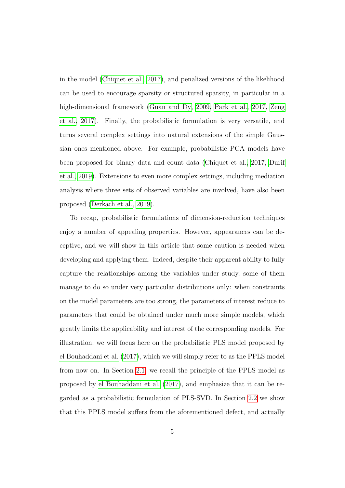in the model [\(Chiquet et al., 2017\)](#page-22-3), and penalized versions of the likelihood can be used to encourage sparsity or structured sparsity, in particular in a high-dimensional framework [\(Guan and Dy, 2009,](#page-23-8) [Park et al., 2017,](#page-24-5) [Zeng](#page-25-5) [et al., 2017\)](#page-25-5). Finally, the probabilistic formulation is very versatile, and turns several complex settings into natural extensions of the simple Gaussian ones mentioned above. For example, probabilistic PCA models have been proposed for binary data and count data [\(Chiquet et al., 2017,](#page-22-3) [Durif](#page-23-9) [et al., 2019\)](#page-23-9). Extensions to even more complex settings, including mediation analysis where three sets of observed variables are involved, have also been proposed [\(Derkach et al., 2019\)](#page-22-4).

To recap, probabilistic formulations of dimension-reduction techniques enjoy a number of appealing properties. However, appearances can be deceptive, and we will show in this article that some caution is needed when developing and applying them. Indeed, despite their apparent ability to fully capture the relationships among the variables under study, some of them manage to do so under very particular distributions only: when constraints on the model parameters are too strong, the parameters of interest reduce to parameters that could be obtained under much more simple models, which greatly limits the applicability and interest of the corresponding models. For illustration, we will focus here on the probabilistic PLS model proposed by [el Bouhaddani et al.](#page-23-0) [\(2017\)](#page-23-0), which we will simply refer to as the PPLS model from now on. In Section [2.1,](#page-5-0) we recall the principle of the PPLS model as proposed by [el Bouhaddani et al.](#page-23-0) [\(2017\)](#page-23-0), and emphasize that it can be regarded as a probabilistic formulation of PLS-SVD. In Section [2.2](#page-7-0) we show that this PPLS model suffers from the aforementioned defect, and actually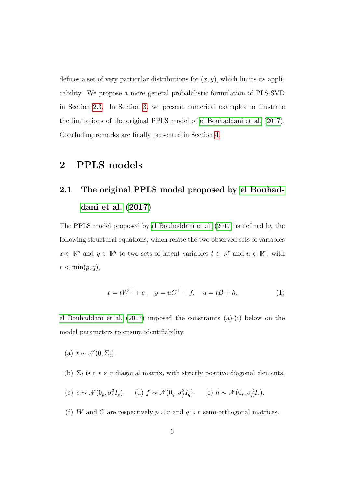defines a set of very particular distributions for  $(x, y)$ , which limits its applicability. We propose a more general probabilistic formulation of PLS-SVD in Section [2.3.](#page-10-0) In Section [3,](#page-14-0) we present numerical examples to illustrate the limitations of the original PPLS model of [el Bouhaddani et al.](#page-23-0) [\(2017\)](#page-23-0). Concluding remarks are finally presented in Section [4.](#page-17-0)

#### 2 PPLS models

### <span id="page-5-0"></span>2.1 The original PPLS model proposed by [el Bouhad](#page-23-0)[dani et al.](#page-23-0) [\(2017\)](#page-23-0)

The PPLS model proposed by [el Bouhaddani et al.](#page-23-0) [\(2017\)](#page-23-0) is defined by the following structural equations, which relate the two observed sets of variables  $x \in \mathbb{R}^p$  and  $y \in \mathbb{R}^q$  to two sets of latent variables  $t \in \mathbb{R}^r$  and  $u \in \mathbb{R}^r$ , with  $r < \min(p, q)$ ,

<span id="page-5-1"></span>
$$
x = tW^{\top} + e
$$
,  $y = uC^{\top} + f$ ,  $u = tB + h$ . (1)

[el Bouhaddani et al.](#page-23-0) [\(2017\)](#page-23-0) imposed the constraints (a)-(i) below on the model parameters to ensure identifiability.

- (a)  $t \sim \mathcal{N}(0, \Sigma_t)$ .
- (b)  $\Sigma_t$  is a  $r \times r$  diagonal matrix, with strictly positive diagonal elements.

(c) 
$$
e \sim \mathcal{N}(0_p, \sigma_e^2 I_p)
$$
. (d)  $f \sim \mathcal{N}(0_q, \sigma_f^2 I_q)$ . (e)  $h \sim \mathcal{N}(0_r, \sigma_h^2 I_r)$ .

(f) W and C are respectively  $p \times r$  and  $q \times r$  semi-orthogonal matrices.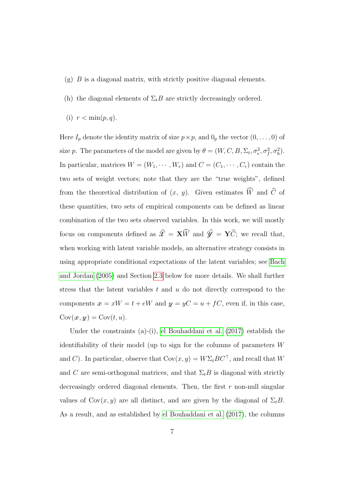- $(g)$  B is a diagonal matrix, with strictly positive diagonal elements.
- (h) the diagonal elements of  $\Sigma_t B$  are strictly decreasingly ordered.
- (i)  $r < \min(p, q)$ .

Here  $I_p$  denote the identity matrix of size  $p \times p$ , and  $0_p$  the vector  $(0, \ldots, 0)$  of size p. The parameters of the model are given by  $\theta = (W, C, B, \Sigma_t, \sigma_e^2, \sigma_f^2, \sigma_h^2)$ . In particular, matrices  $W = (W_1, \dots, W_r)$  and  $C = (C_1, \dots, C_r)$  contain the two sets of weight vectors; note that they are the "true weights", defined from the theoretical distribution of  $(x, y)$ . Given estimates  $\widehat{W}$  and  $\widehat{C}$  of these quantities, two sets of empirical components can be defined as linear combination of the two sets observed variables. In this work, we will mostly focus on components defined as  $\widehat{\mathcal{X}} = \mathbf{X}\widehat{W}$  and  $\widehat{\mathcal{Y}} = \mathbf{Y}\widehat{C}$ ; we recall that, when working with latent variable models, an alternative strategy consists in using appropriate conditional expectations of the latent variables; see [Bach](#page-22-1) [and Jordan](#page-22-1) [\(2005\)](#page-22-1) and Section [2.3](#page-10-0) below for more details. We shall further stress that the latent variables  $t$  and  $u$  do not directly correspond to the components  $x = xW = t + eW$  and  $y = yC = u + fC$ , even if, in this case,  $Cov(x, y) = Cov(t, u).$ 

Under the constraints (a)-(i), [el Bouhaddani et al.](#page-23-0) [\(2017\)](#page-23-0) establish the identifiability of their model (up to sign for the columns of parameters W and C). In particular, observe that  $Cov(x, y) = W\Sigma_t B C^{\top}$ , and recall that W and C are semi-orthogonal matrices, and that  $\Sigma_t B$  is diagonal with strictly decreasingly ordered diagonal elements. Then, the first  $r$  non-null singular values of  $Cov(x, y)$  are all distinct, and are given by the diagonal of  $\Sigma_t B$ . As a result, and as established by [el Bouhaddani et al.](#page-23-0) [\(2017\)](#page-23-0), the columns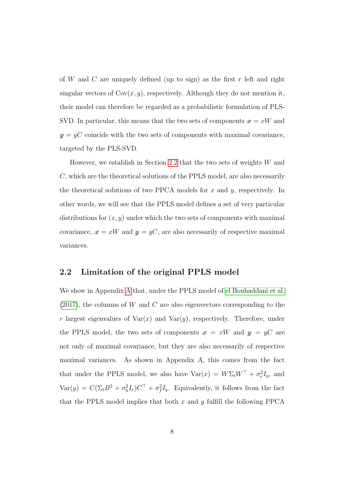of W and C are uniquely defined (up to sign) as the first  $r$  left and right singular vectors of  $Cov(x, y)$ , respectively. Although they do not mention it, their model can therefore be regarded as a probabilistic formulation of PLS-SVD. In particular, this means that the two sets of components  $x = xW$  and  $y = yC$  coincide with the two sets of components with maximal covariance, targeted by the PLS-SVD.

However, we establish in Section [2.2](#page-7-0) that the two sets of weights W and C, which are the theoretical solutions of the PPLS model, are also necessarily the theoretical solutions of two PPCA models for  $x$  and  $y$ , respectively. In other words, we will see that the PPLS model defines a set of very particular distributions for  $(x, y)$  under which the two sets of components with maximal covariance,  $x = xW$  and  $y = yC$ , are also necessarily of respective maximal variances.

#### <span id="page-7-0"></span>2.2 Limitation of the original PPLS model

We show in Appendix [A](#page-26-0) that, under the PPLS model of [el Bouhaddani et al.](#page-23-0)  $(2017)$ , the columns of W and C are also eigenvectors corresponding to the r largest eigenvalues of  $Var(x)$  and  $Var(y)$ , respectively. Therefore, under the PPLS model, the two sets of components  $x = xW$  and  $y = yC$  are not only of maximal covariance, but they are also necessarily of respective maximal variances. As shown in Appendix A, this comes from the fact that under the PPLS model, we also have  $Var(x) = W\Sigma_t W^{\top} + \sigma_e^2 I_p$ , and  $\text{Var}(y) = C(\Sigma_t B^2 + \sigma_h^2 I_r)C^\top + \sigma_f^2 I_q$ . Equivalently, it follows from the fact that the PPLS model implies that both  $x$  and  $y$  fulfill the following PPCA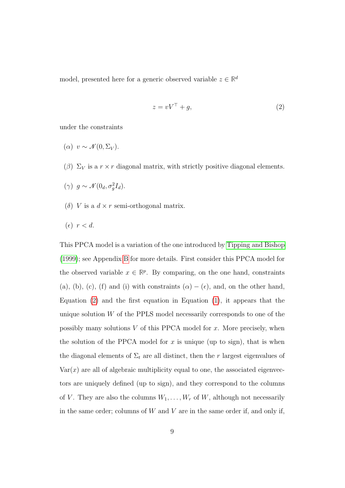model, presented here for a generic observed variable  $z \in \mathbb{R}^d$ 

<span id="page-8-0"></span>
$$
z = vV^{\top} + g,\tag{2}
$$

under the constraints

$$
(\alpha) v \sim \mathcal{N}(0, \Sigma_V).
$$

( $\beta$ )  $\Sigma_V$  is a  $r \times r$  diagonal matrix, with strictly positive diagonal elements.

$$
(\gamma) g \sim \mathcal{N}(0_d, \sigma_g^2 I_d).
$$

(δ) V is a  $d \times r$  semi-orthogonal matrix.

$$
(\epsilon) \ \ r < d.
$$

This PPCA model is a variation of the one introduced by [Tipping and Bishop](#page-25-2) [\(1999\)](#page-25-2); see Appendix [B](#page-27-0) for more details. First consider this PPCA model for the observed variable  $x \in \mathbb{R}^p$ . By comparing, on the one hand, constraints (a), (b), (c), (f) and (i) with constraints  $(\alpha) - (\epsilon)$ , and, on the other hand, Equation [\(2\)](#page-8-0) and the first equation in Equation [\(1\)](#page-5-1), it appears that the unique solution  $W$  of the PPLS model necessarily corresponds to one of the possibly many solutions  $V$  of this PPCA model for  $x$ . More precisely, when the solution of the PPCA model for  $x$  is unique (up to sign), that is when the diagonal elements of  $\Sigma_t$  are all distinct, then the r largest eigenvalues of  $Var(x)$  are all of algebraic multiplicity equal to one, the associated eigenvectors are uniquely defined (up to sign), and they correspond to the columns of V. They are also the columns  $W_1, \ldots, W_r$  of W, although not necessarily in the same order; columns of  $W$  and  $V$  are in the same order if, and only if,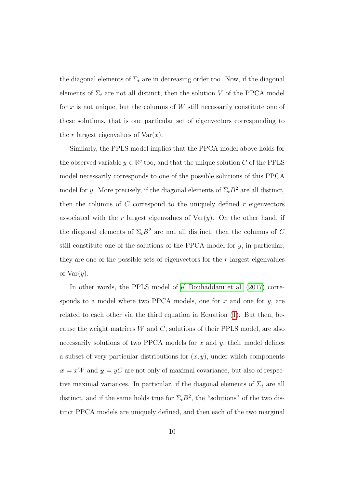the diagonal elements of  $\Sigma_t$  are in decreasing order too. Now, if the diagonal elements of  $\Sigma_t$  are not all distinct, then the solution V of the PPCA model for x is not unique, but the columns of  $W$  still necessarily constitute one of these solutions, that is one particular set of eigenvectors corresponding to the r largest eigenvalues of  $Var(x)$ .

Similarly, the PPLS model implies that the PPCA model above holds for the observed variable  $y \in \mathbb{R}^q$  too, and that the unique solution C of the PPLS model necessarily corresponds to one of the possible solutions of this PPCA model for y. More precisely, if the diagonal elements of  $\Sigma_t B^2$  are all distinct, then the columns of  $C$  correspond to the uniquely defined  $r$  eigenvectors associated with the r largest eigenvalues of  $Var(y)$ . On the other hand, if the diagonal elements of  $\Sigma_t B^2$  are not all distinct, then the columns of C still constitute one of the solutions of the PPCA model for  $y$ ; in particular, they are one of the possible sets of eigenvectors for the r largest eigenvalues of  $Var(y)$ .

In other words, the PPLS model of [el Bouhaddani et al.](#page-23-0) [\(2017\)](#page-23-0) corresponds to a model where two PPCA models, one for x and one for  $y$ , are related to each other via the third equation in Equation [\(1\)](#page-5-1). But then, because the weight matrices  $W$  and  $C$ , solutions of their PPLS model, are also necessarily solutions of two PPCA models for  $x$  and  $y$ , their model defines a subset of very particular distributions for  $(x, y)$ , under which components  $x = xW$  and  $y = yC$  are not only of maximal covariance, but also of respective maximal variances. In particular, if the diagonal elements of  $\Sigma_t$  are all distinct, and if the same holds true for  $\Sigma_t B^2$ , the "solutions" of the two distinct PPCA models are uniquely defined, and then each of the two marginal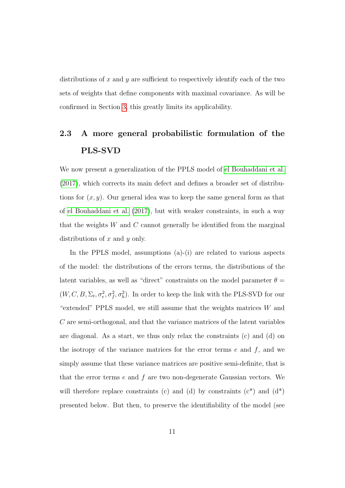distributions of x and  $y$  are sufficient to respectively identify each of the two sets of weights that define components with maximal covariance. As will be confirmed in Section [3,](#page-14-0) this greatly limits its applicability.

### <span id="page-10-0"></span>2.3 A more general probabilistic formulation of the PLS-SVD

We now present a generalization of the PPLS model of [el Bouhaddani et al.](#page-23-0) [\(2017\)](#page-23-0), which corrects its main defect and defines a broader set of distributions for  $(x, y)$ . Our general idea was to keep the same general form as that of [el Bouhaddani et al.](#page-23-0) [\(2017\)](#page-23-0), but with weaker constraints, in such a way that the weights  $W$  and  $C$  cannot generally be identified from the marginal distributions of  $x$  and  $y$  only.

In the PPLS model, assumptions (a)-(i) are related to various aspects of the model: the distributions of the errors terms, the distributions of the latent variables, as well as "direct" constraints on the model parameter  $\theta =$  $(W, C, B, \Sigma_t, \sigma_e^2, \sigma_f^2, \sigma_h^2)$ . In order to keep the link with the PLS-SVD for our "extended" PPLS model, we still assume that the weights matrices  $W$  and C are semi-orthogonal, and that the variance matrices of the latent variables are diagonal. As a start, we thus only relax the constraints (c) and (d) on the isotropy of the variance matrices for the error terms  $e$  and  $f$ , and we simply assume that these variance matrices are positive semi-definite, that is that the error terms  $e$  and  $f$  are two non-degenerate Gaussian vectors. We will therefore replace constraints (c) and (d) by constraints (c<sup>\*</sup>) and  $(d^*)$ presented below. But then, to preserve the identifiability of the model (see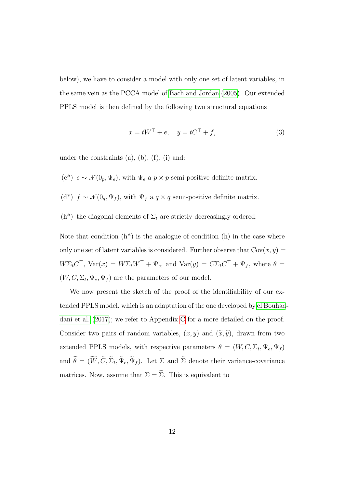below), we have to consider a model with only one set of latent variables, in the same vein as the PCCA model of [Bach and Jordan](#page-22-1) [\(2005\)](#page-22-1). Our extended PPLS model is then defined by the following two structural equations

<span id="page-11-0"></span>
$$
x = tW^{\top} + e, \quad y = tC^{\top} + f,\tag{3}
$$

under the constraints  $(a)$ ,  $(b)$ ,  $(f)$ ,  $(i)$  and:

- (c<sup>\*</sup>)  $e \sim \mathcal{N}(0_p, \Psi_e)$ , with  $\Psi_e$  a  $p \times p$  semi-positive definite matrix.
- (d\*)  $f \sim \mathcal{N}(0_q, \Psi_f)$ , with  $\Psi_f$  a  $q \times q$  semi-positive definite matrix.
- (h<sup>\*</sup>) the diagonal elements of  $\Sigma_t$  are strictly decreasingly ordered.

Note that condition  $(h^*)$  is the analogue of condition  $(h)$  in the case where only one set of latent variables is considered. Further observe that  $Cov(x, y) =$  $W\Sigma_t C^\top$ ,  $Var(x) = W\Sigma_t W^\top + \Psi_e$ , and  $Var(y) = C\Sigma_t C^\top + \Psi_f$ , where  $\theta =$  $(W, C, \Sigma_t, \Psi_e, \Psi_f)$  are the parameters of our model.

We now present the sketch of the proof of the identifiability of our extended PPLS model, which is an adaptation of the one developed by [el Bouhad](#page-23-0)[dani et al.](#page-23-0) [\(2017\)](#page-23-0); we refer to Appendix [C](#page-29-0) for a more detailed on the proof. Consider two pairs of random variables,  $(x, y)$  and  $(\tilde{x}, \tilde{y})$ , drawn from two extended PPLS models, with respective parameters  $\theta = (W, C, \Sigma_t, \Psi_e, \Psi_f)$ and  $\theta = (W, C, \Sigma_t, \Psi_e, \Psi_f)$ . Let  $\Sigma$  and  $\Sigma$  denote their variance-covariance matrices. Now, assume that  $\Sigma = \widetilde{\Sigma}$ . This is equivalent to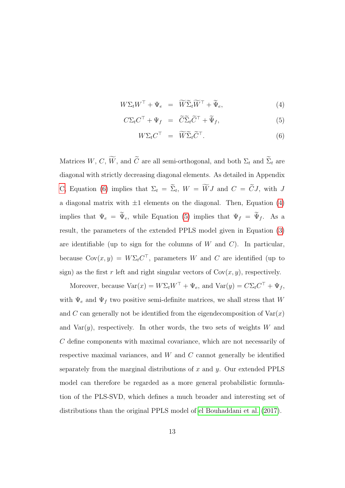<span id="page-12-0"></span>
$$
W\Sigma_t W^{\top} + \Psi_e = \widetilde{W}\widetilde{\Sigma}_t \widetilde{W}^{\top} + \widetilde{\Psi}_e, \tag{4}
$$

$$
C\Sigma_t C^\top + \Psi_f = \widetilde{C}\widetilde{\Sigma}_t \widetilde{C}^\top + \widetilde{\Psi}_f, \tag{5}
$$

$$
W\Sigma_t C^\top = \widetilde{W}\widetilde{\Sigma}_t \widetilde{C}^\top. \tag{6}
$$

Matrices W, C,  $\widetilde{W}$ , and  $\widetilde{C}$  are all semi-orthogonal, and both  $\Sigma_t$  and  $\widetilde{\Sigma}_t$  are diagonal with strictly decreasing diagonal elements. As detailed in Appendix [C,](#page-29-0) Equation [\(6\)](#page-12-0) implies that  $\Sigma_t = \Sigma_t$ ,  $W = WJ$  and  $C = CJ$ , with J a diagonal matrix with  $\pm 1$  elements on the diagonal. Then, Equation [\(4\)](#page-12-0) implies that  $\Psi_e = \tilde{\Psi}_e$ , while Equation [\(5\)](#page-12-0) implies that  $\Psi_f = \tilde{\Psi}_f$ . As a result, the parameters of the extended PPLS model given in Equation [\(3\)](#page-11-0) are identifiable (up to sign for the columns of  $W$  and  $C$ ). In particular, because  $Cov(x, y) = W\Sigma_t C^{\top}$ , parameters W and C are identified (up to sign) as the first r left and right singular vectors of  $Cov(x, y)$ , respectively.

Moreover, because  $\text{Var}(x) = W \Sigma_t W^\top + \Psi_e$ , and  $\text{Var}(y) = C \Sigma_t C^\top + \Psi_f$ , with  $\Psi_e$  and  $\Psi_f$  two positive semi-definite matrices, we shall stress that W and C can generally not be identified from the eigendecomposition of  $\text{Var}(x)$ and  $Var(y)$ , respectively. In other words, the two sets of weights W and C define components with maximal covariance, which are not necessarily of respective maximal variances, and  $W$  and  $C$  cannot generally be identified separately from the marginal distributions of x and  $y$ . Our extended PPLS model can therefore be regarded as a more general probabilistic formulation of the PLS-SVD, which defines a much broader and interesting set of distributions than the original PPLS model of [el Bouhaddani et al.](#page-23-0) [\(2017\)](#page-23-0).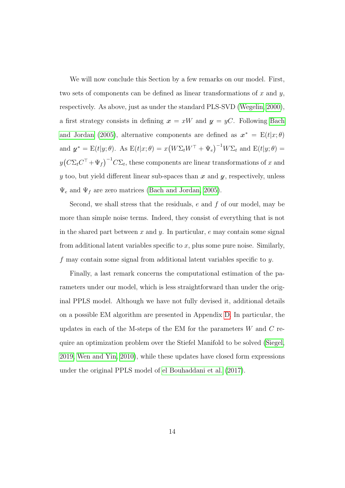We will now conclude this Section by a few remarks on our model. First, two sets of components can be defined as linear transformations of x and y, respectively. As above, just as under the standard PLS-SVD [\(Wegelin, 2000\)](#page-25-1), a first strategy consists in defining  $x = xW$  and  $y = yC$ . Following [Bach](#page-22-1) [and Jordan](#page-22-1) [\(2005\)](#page-22-1), alternative components are defined as  $x^* = E(t|x; \theta)$ and  $\mathbf{y}^* = \mathbf{E}(t|y;\theta)$ . As  $\mathbf{E}(t|x;\theta) = x(W\Sigma_t W^\top + \Psi_e)^{-1} W\Sigma_t$  and  $\mathbf{E}(t|y;\theta) =$  $y(C\Sigma_t C^\top + \Psi_f)^{-1} C\Sigma_t$ , these components are linear transformations of x and y too, but yield different linear sub-spaces than  $x$  and  $y$ , respectively, unless  $\Psi_e$  and  $\Psi_f$  are zero matrices [\(Bach and Jordan, 2005\)](#page-22-1).

Second, we shall stress that the residuals,  $e$  and  $f$  of our model, may be more than simple noise terms. Indeed, they consist of everything that is not in the shared part between x and y. In particular,  $e$  may contain some signal from additional latent variables specific to  $x$ , plus some pure noise. Similarly, f may contain some signal from additional latent variables specific to y.

Finally, a last remark concerns the computational estimation of the parameters under our model, which is less straightforward than under the original PPLS model. Although we have not fully devised it, additional details on a possible EM algorithm are presented in Appendix [D.](#page-31-0) In particular, the updates in each of the M-steps of the EM for the parameters  $W$  and  $C$  require an optimization problem over the Stiefel Manifold to be solved [\(Siegel,](#page-24-6) [2019,](#page-24-6) [Wen and Yin, 2010\)](#page-25-6), while these updates have closed form expressions under the original PPLS model of [el Bouhaddani et al.](#page-23-0) [\(2017\)](#page-23-0).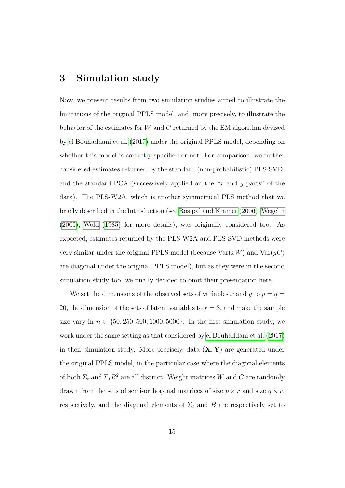#### <span id="page-14-0"></span>3 Simulation study

Now, we present results from two simulation studies aimed to illustrate the limitations of the original PPLS model, and, more precisely, to illustrate the behavior of the estimates for W and C returned by the EM algorithm devised by [el Bouhaddani et al.](#page-23-0) [\(2017\)](#page-23-0) under the original PPLS model, depending on whether this model is correctly specified or not. For comparison, we further considered estimates returned by the standard (non-probabilistic) PLS-SVD, and the standard PCA (successively applied on the " $x$  and  $y$  parts" of the data). The PLS-W2A, which is another symmetrical PLS method that we briefly described in the Introduction (see Rosipal and Krämer [\(2006\)](#page-24-3), [Wegelin](#page-25-1) [\(2000\)](#page-25-1), [Wold](#page-25-0) [\(1985\)](#page-25-0) for more details), was originally considered too. As expected, estimates returned by the PLS-W2A and PLS-SVD methods were very similar under the original PPLS model (because  $\text{Var}(xW)$  and  $\text{Var}(yC)$ ) are diagonal under the original PPLS model), but as they were in the second simulation study too, we finally decided to omit their presentation here.

We set the dimensions of the observed sets of variables x and y to  $p = q =$ 20, the dimension of the sets of latent variables to  $r = 3$ , and make the sample size vary in  $n \in \{50, 250, 500, 1000, 5000\}$ . In the first simulation study, we work under the same setting as that considered by [el Bouhaddani et al.](#page-23-0) [\(2017\)](#page-23-0) in their simulation study. More precisely, data  $(X, Y)$  are generated under the original PPLS model, in the particular case where the diagonal elements of both  $\Sigma_t$  and  $\Sigma_tB^2$  are all distinct. Weight matrices W and C are randomly drawn from the sets of semi-orthogonal matrices of size  $p \times r$  and size  $q \times r$ , respectively, and the diagonal elements of  $\Sigma_t$  and B are respectively set to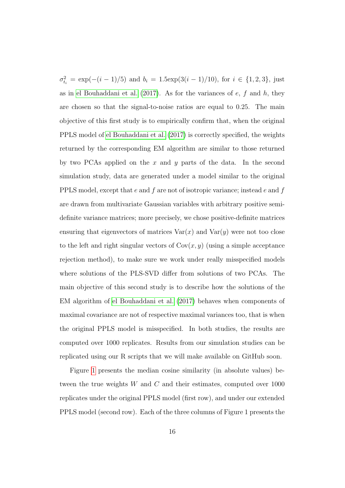$\sigma_{t_i}^2 = \exp(-(i-1)/5)$  and  $b_i = 1.5 \exp(3(i-1)/10)$ , for  $i \in \{1, 2, 3\}$ , just as in [el Bouhaddani et al.](#page-23-0)  $(2017)$ . As for the variances of e, f and h, they are chosen so that the signal-to-noise ratios are equal to 0.25. The main objective of this first study is to empirically confirm that, when the original PPLS model of [el Bouhaddani et al.](#page-23-0) [\(2017\)](#page-23-0) is correctly specified, the weights returned by the corresponding EM algorithm are similar to those returned by two PCAs applied on the x and y parts of the data. In the second simulation study, data are generated under a model similar to the original PPLS model, except that e and f are not of isotropic variance; instead e and f are drawn from multivariate Gaussian variables with arbitrary positive semidefinite variance matrices; more precisely, we chose positive-definite matrices ensuring that eigenvectors of matrices  $\text{Var}(x)$  and  $\text{Var}(y)$  were not too close to the left and right singular vectors of  $Cov(x, y)$  (using a simple acceptance rejection method), to make sure we work under really misspecified models where solutions of the PLS-SVD differ from solutions of two PCAs. The main objective of this second study is to describe how the solutions of the EM algorithm of [el Bouhaddani et al.](#page-23-0) [\(2017\)](#page-23-0) behaves when components of maximal covariance are not of respective maximal variances too, that is when the original PPLS model is misspecified. In both studies, the results are computed over 1000 replicates. Results from our simulation studies can be replicated using our R scripts that we will make available on GitHub soon.

Figure [1](#page-18-0) presents the median cosine similarity (in absolute values) between the true weights W and C and their estimates, computed over 1000 replicates under the original PPLS model (first row), and under our extended PPLS model (second row). Each of the three columns of Figure 1 presents the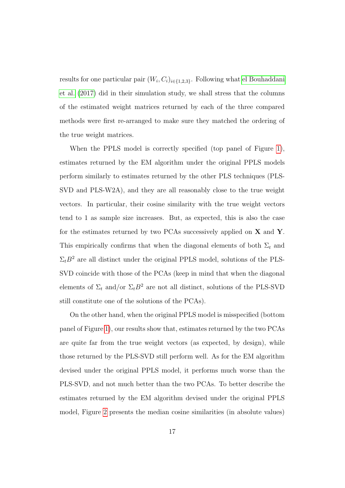results for one particular pair  $(W_i, C_i)_{i \in \{1,2,3\}}$ . Following what [el Bouhaddani](#page-23-0) [et al.](#page-23-0) [\(2017\)](#page-23-0) did in their simulation study, we shall stress that the columns of the estimated weight matrices returned by each of the three compared methods were first re-arranged to make sure they matched the ordering of the true weight matrices.

When the PPLS model is correctly specified (top panel of Figure [1\)](#page-18-0), estimates returned by the EM algorithm under the original PPLS models perform similarly to estimates returned by the other PLS techniques (PLS-SVD and PLS-W2A), and they are all reasonably close to the true weight vectors. In particular, their cosine similarity with the true weight vectors tend to 1 as sample size increases. But, as expected, this is also the case for the estimates returned by two PCAs successively applied on  $X$  and  $Y$ . This empirically confirms that when the diagonal elements of both  $\Sigma_t$  and  $\Sigma_t B^2$  are all distinct under the original PPLS model, solutions of the PLS-SVD coincide with those of the PCAs (keep in mind that when the diagonal elements of  $\Sigma_t$  and/or  $\Sigma_t B^2$  are not all distinct, solutions of the PLS-SVD still constitute one of the solutions of the PCAs).

On the other hand, when the original PPLS model is misspecified (bottom panel of Figure [1\)](#page-18-0), our results show that, estimates returned by the two PCAs are quite far from the true weight vectors (as expected, by design), while those returned by the PLS-SVD still perform well. As for the EM algorithm devised under the original PPLS model, it performs much worse than the PLS-SVD, and not much better than the two PCAs. To better describe the estimates returned by the EM algorithm devised under the original PPLS model, Figure [2](#page-19-0) presents the median cosine similarities (in absolute values)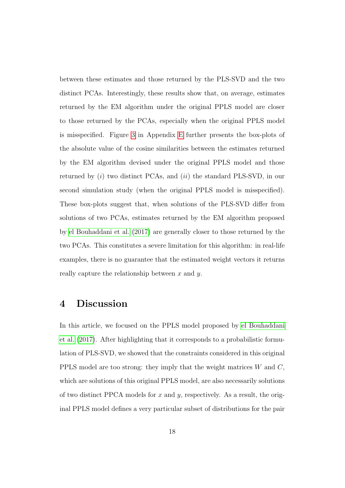between these estimates and those returned by the PLS-SVD and the two distinct PCAs. Interestingly, these results show that, on average, estimates returned by the EM algorithm under the original PPLS model are closer to those returned by the PCAs, especially when the original PPLS model is misspecified. Figure [3](#page-35-0) in Appendix [E](#page-35-1) further presents the box-plots of the absolute value of the cosine similarities between the estimates returned by the EM algorithm devised under the original PPLS model and those returned by  $(i)$  two distinct PCAs, and  $(ii)$  the standard PLS-SVD, in our second simulation study (when the original PPLS model is misspecified). These box-plots suggest that, when solutions of the PLS-SVD differ from solutions of two PCAs, estimates returned by the EM algorithm proposed by [el Bouhaddani et al.](#page-23-0) [\(2017\)](#page-23-0) are generally closer to those returned by the two PCAs. This constitutes a severe limitation for this algorithm: in real-life examples, there is no guarantee that the estimated weight vectors it returns really capture the relationship between x and y.

#### <span id="page-17-0"></span>4 Discussion

In this article, we focused on the PPLS model proposed by [el Bouhaddani](#page-23-0) [et al.](#page-23-0) [\(2017\)](#page-23-0). After highlighting that it corresponds to a probabilistic formulation of PLS-SVD, we showed that the constraints considered in this original PPLS model are too strong: they imply that the weight matrices  $W$  and  $C$ , which are solutions of this original PPLS model, are also necessarily solutions of two distinct PPCA models for x and y, respectively. As a result, the original PPLS model defines a very particular subset of distributions for the pair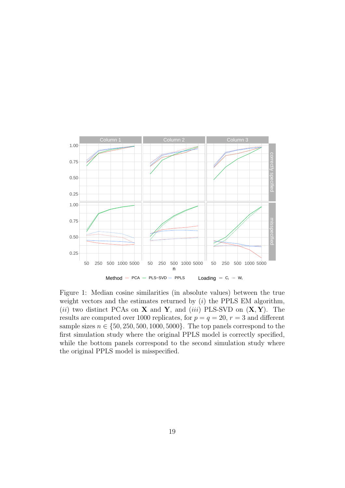<span id="page-18-0"></span>

Figure 1: Median cosine similarities (in absolute values) between the true weight vectors and the estimates returned by  $(i)$  the PPLS EM algorithm, (ii) two distinct PCAs on **X** and **Y**, and (iii) PLS-SVD on  $(X, Y)$ . The results are computed over 1000 replicates, for  $p = q = 20$ ,  $r = 3$  and different sample sizes  $n \in \{50, 250, 500, 1000, 5000\}$ . The top panels correspond to the first simulation study where the original PPLS model is correctly specified, while the bottom panels correspond to the second simulation study where the original PPLS model is misspecified.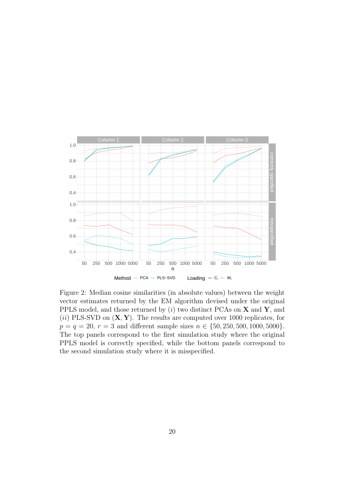<span id="page-19-0"></span>

Figure 2: Median cosine similarities (in absolute values) between the weight vector estimates returned by the EM algorithm devised under the original PPLS model, and those returned by  $(i)$  two distinct PCAs on **X** and **Y**, and (ii) PLS-SVD on  $(X, Y)$ . The results are computed over 1000 replicates, for  $p = q = 20, r = 3$  and different sample sizes  $n \in \{50, 250, 500, 1000, 5000\}.$ The top panels correspond to the first simulation study where the original PPLS model is correctly specified, while the bottom panels correspond to the second simulation study where it is misspecified.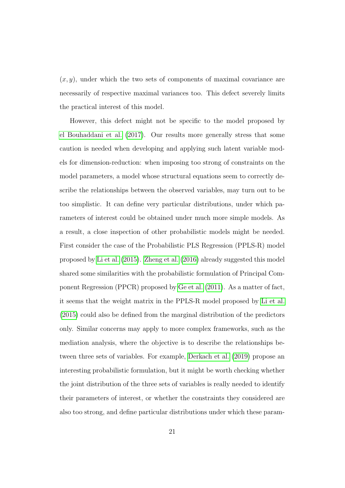$(x, y)$ , under which the two sets of components of maximal covariance are necessarily of respective maximal variances too. This defect severely limits the practical interest of this model.

However, this defect might not be specific to the model proposed by [el Bouhaddani et al.](#page-23-0) [\(2017\)](#page-23-0). Our results more generally stress that some caution is needed when developing and applying such latent variable models for dimension-reduction: when imposing too strong of constraints on the model parameters, a model whose structural equations seem to correctly describe the relationships between the observed variables, may turn out to be too simplistic. It can define very particular distributions, under which parameters of interest could be obtained under much more simple models. As a result, a close inspection of other probabilistic models might be needed. First consider the case of the Probabilistic PLS Regression (PPLS-R) model proposed by [Li et al.](#page-24-4) [\(2015\)](#page-24-4). [Zheng et al.](#page-25-3) [\(2016\)](#page-25-3) already suggested this model shared some similarities with the probabilistic formulation of Principal Component Regression (PPCR) proposed by [Ge et al.](#page-23-7) [\(2011\)](#page-23-7). As a matter of fact, it seems that the weight matrix in the PPLS-R model proposed by [Li et al.](#page-24-4) [\(2015\)](#page-24-4) could also be defined from the marginal distribution of the predictors only. Similar concerns may apply to more complex frameworks, such as the mediation analysis, where the objective is to describe the relationships between three sets of variables. For example, [Derkach et al.](#page-22-4) [\(2019\)](#page-22-4) propose an interesting probabilistic formulation, but it might be worth checking whether the joint distribution of the three sets of variables is really needed to identify their parameters of interest, or whether the constraints they considered are also too strong, and define particular distributions under which these param-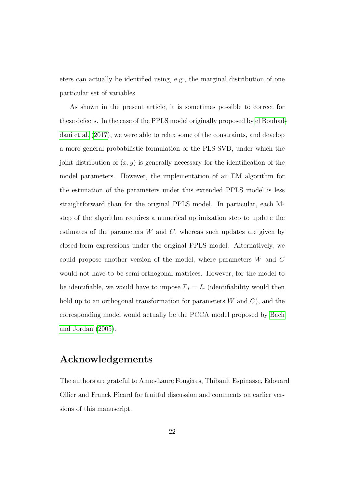eters can actually be identified using, e.g., the marginal distribution of one particular set of variables.

As shown in the present article, it is sometimes possible to correct for these defects. In the case of the PPLS model originally proposed by [el Bouhad](#page-23-0)[dani et al.](#page-23-0) [\(2017\)](#page-23-0), we were able to relax some of the constraints, and develop a more general probabilistic formulation of the PLS-SVD, under which the joint distribution of  $(x, y)$  is generally necessary for the identification of the model parameters. However, the implementation of an EM algorithm for the estimation of the parameters under this extended PPLS model is less straightforward than for the original PPLS model. In particular, each Mstep of the algorithm requires a numerical optimization step to update the estimates of the parameters  $W$  and  $C$ , whereas such updates are given by closed-form expressions under the original PPLS model. Alternatively, we could propose another version of the model, where parameters  $W$  and  $C$ would not have to be semi-orthogonal matrices. However, for the model to be identifiable, we would have to impose  $\Sigma_t = I_r$  (identifiability would then hold up to an orthogonal transformation for parameters  $W$  and  $C$ ), and the corresponding model would actually be the PCCA model proposed by [Bach](#page-22-1) [and Jordan](#page-22-1) [\(2005\)](#page-22-1).

#### Acknowledgements

The authors are grateful to Anne-Laure Fougères, Thibault Espinasse, Edouard Ollier and Franck Picard for fruitful discussion and comments on earlier versions of this manuscript.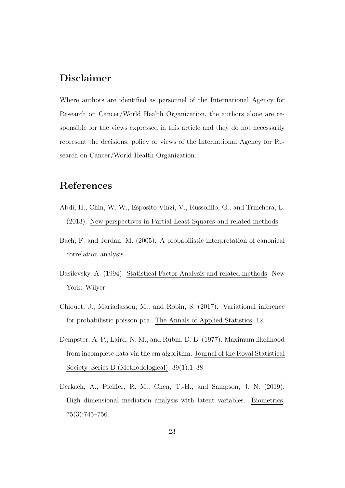#### Disclaimer

Where authors are identified as personnel of the International Agency for Research on Cancer/World Health Organization, the authors alone are responsible for the views expressed in this article and they do not necessarily represent the decisions, policy or views of the International Agency for Research on Cancer/World Health Organization.

#### References

- <span id="page-22-0"></span>Abdi, H., Chin, W. W., Esposito Vinzi, V., Russolillo, G., and Trinchera, L. (2013). New perspectives in Partial Least Squares and related methods.
- <span id="page-22-1"></span>Bach, F. and Jordan, M. (2005). A probabilistic interpretation of canonical correlation analysis.
- <span id="page-22-5"></span>Basilevsky, A. (1994). Statistical Factor Analysis and related methods. New York: Wilyer.
- <span id="page-22-3"></span>Chiquet, J., Mariadassou, M., and Robin, S. (2017). Variational inference for probabilistic poisson pca. The Annals of Applied Statistics, 12.
- <span id="page-22-2"></span>Dempster, A. P., Laird, N. M., and Rubin, D. B. (1977). Maximum likelihood from incomplete data via the em algorithm. Journal of the Royal Statistical Society. Series B (Methodological), 39(1):1–38.
- <span id="page-22-4"></span>Derkach, A., Pfeiffer, R. M., Chen, T.-H., and Sampson, J. N. (2019). High dimensional mediation analysis with latent variables. Biometrics, 75(3):745–756.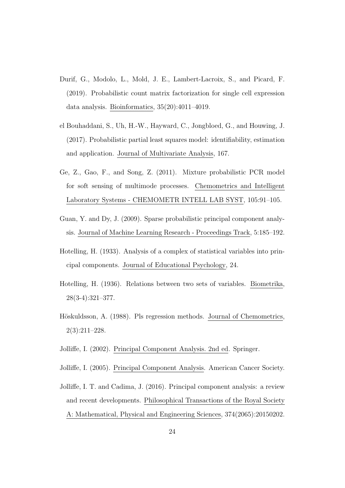- <span id="page-23-9"></span>Durif, G., Modolo, L., Mold, J. E., Lambert-Lacroix, S., and Picard, F. (2019). Probabilistic count matrix factorization for single cell expression data analysis. Bioinformatics, 35(20):4011–4019.
- <span id="page-23-0"></span>el Bouhaddani, S., Uh, H.-W., Hayward, C., Jongbloed, G., and Houwing, J. (2017). Probabilistic partial least squares model: identifiability, estimation and application. Journal of Multivariate Analysis, 167.
- <span id="page-23-7"></span>Ge, Z., Gao, F., and Song, Z. (2011). Mixture probabilistic PCR model for soft sensing of multimode processes. Chemometrics and Intelligent Laboratory Systems - CHEMOMETR INTELL LAB SYST, 105:91–105.
- <span id="page-23-8"></span>Guan, Y. and Dy, J. (2009). Sparse probabilistic principal component analysis. Journal of Machine Learning Research - Proceedings Track, 5:185–192.
- <span id="page-23-1"></span>Hotelling, H. (1933). Analysis of a complex of statistical variables into principal components. Journal of Educational Psychology, 24.
- <span id="page-23-2"></span>Hotelling, H. (1936). Relations between two sets of variables. Biometrika, 28(3-4):321–377.
- <span id="page-23-6"></span>Höskuldsson, A. (1988). Pls regression methods. Journal of Chemometrics, 2(3):211–228.
- <span id="page-23-3"></span>Jolliffe, I. (2002). Principal Component Analysis. 2nd ed. Springer.
- <span id="page-23-4"></span>Jolliffe, I. (2005). Principal Component Analysis. American Cancer Society.
- <span id="page-23-5"></span>Jolliffe, I. T. and Cadima, J. (2016). Principal component analysis: a review and recent developments. Philosophical Transactions of the Royal Society A: Mathematical, Physical and Engineering Sciences, 374(2065):20150202.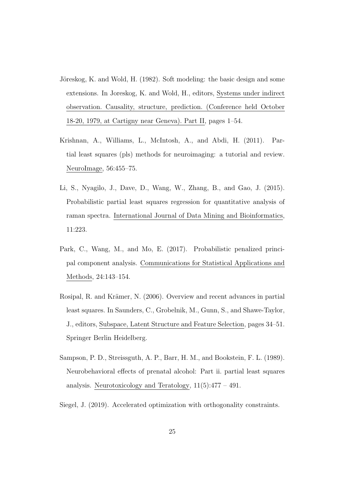- <span id="page-24-0"></span>Jöreskog, K. and Wold, H. (1982). Soft modeling: the basic design and some extensions. In Joreskog, K. and Wold, H., editors, Systems under indirect observation. Causality, structure, prediction. (Conference held October 18-20, 1979, at Cartigny near Geneva). Part II, pages 1–54.
- <span id="page-24-2"></span>Krishnan, A., Williams, L., McIntosh, A., and Abdi, H. (2011). Partial least squares (pls) methods for neuroimaging: a tutorial and review. NeuroImage, 56:455–75.
- <span id="page-24-4"></span>Li, S., Nyagilo, J., Dave, D., Wang, W., Zhang, B., and Gao, J. (2015). Probabilistic partial least squares regression for quantitative analysis of raman spectra. International Journal of Data Mining and Bioinformatics, 11:223.
- <span id="page-24-5"></span>Park, C., Wang, M., and Mo, E. (2017). Probabilistic penalized principal component analysis. Communications for Statistical Applications and Methods, 24:143–154.
- <span id="page-24-3"></span>Rosipal, R. and Krämer, N. (2006). Overview and recent advances in partial least squares. In Saunders, C., Grobelnik, M., Gunn, S., and Shawe-Taylor, J., editors, Subspace, Latent Structure and Feature Selection, pages 34–51. Springer Berlin Heidelberg.
- <span id="page-24-1"></span>Sampson, P. D., Streissguth, A. P., Barr, H. M., and Bookstein, F. L. (1989). Neurobehavioral effects of prenatal alcohol: Part ii. partial least squares analysis. Neurotoxicology and Teratology,  $11(5):477 - 491$ .
- <span id="page-24-6"></span>Siegel, J. (2019). Accelerated optimization with orthogonality constraints.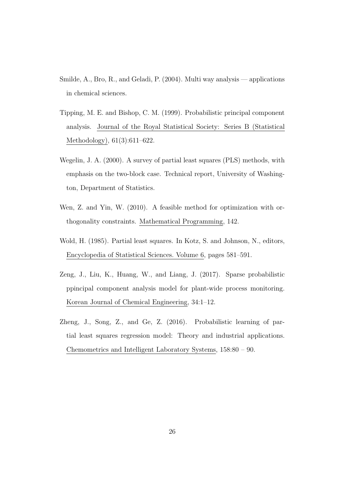- <span id="page-25-4"></span>Smilde, A., Bro, R., and Geladi, P. (2004). Multi way analysis — applications in chemical sciences.
- <span id="page-25-2"></span>Tipping, M. E. and Bishop, C. M. (1999). Probabilistic principal component analysis. Journal of the Royal Statistical Society: Series B (Statistical Methodology), 61(3):611–622.
- <span id="page-25-1"></span>Wegelin, J. A. (2000). A survey of partial least squares (PLS) methods, with emphasis on the two-block case. Technical report, University of Washington, Department of Statistics.
- <span id="page-25-6"></span>Wen, Z. and Yin, W. (2010). A feasible method for optimization with orthogonality constraints. Mathematical Programming, 142.
- <span id="page-25-0"></span>Wold, H. (1985). Partial least squares. In Kotz, S. and Johnson, N., editors, Encyclopedia of Statistical Sciences. Volume 6, pages 581–591.
- <span id="page-25-5"></span>Zeng, J., Liu, K., Huang, W., and Liang, J. (2017). Sparse probabilistic ppincipal component analysis model for plant-wide process monitoring. Korean Journal of Chemical Engineering, 34:1–12.
- <span id="page-25-3"></span>Zheng, J., Song, Z., and Ge, Z. (2016). Probabilistic learning of partial least squares regression model: Theory and industrial applications. Chemometrics and Intelligent Laboratory Systems, 158:80 – 90.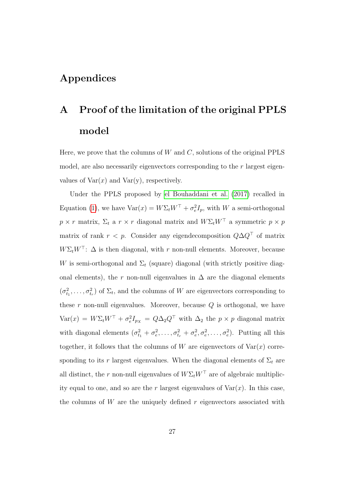#### Appendices

## <span id="page-26-0"></span>A Proof of the limitation of the original PPLS model

Here, we prove that the columns of  $W$  and  $C$ , solutions of the original PPLS model, are also necessarily eigenvectors corresponding to the r largest eigenvalues of  $Var(x)$  and  $Var(y)$ , respectively.

Under the PPLS proposed by [el Bouhaddani et al.](#page-23-0) [\(2017\)](#page-23-0) recalled in Equation [\(1\)](#page-5-1), we have  $\text{Var}(x) = W \Sigma_t W^\top + \sigma_e^2 I_p$ , with W a semi-orthogonal  $p \times r$  matrix,  $\Sigma_t$  a  $r \times r$  diagonal matrix and  $W \Sigma_t W^\top$  a symmetric  $p \times p$ matrix of rank  $r < p$ . Consider any eigendecomposition  $Q\Delta Q^{\top}$  of matrix  $W\Sigma_t W^{\top}$ :  $\Delta$  is then diagonal, with r non-null elements. Moreover, because W is semi-orthogonal and  $\Sigma_t$  (square) diagonal (with strictly positive diagonal elements), the r non-null eigenvalues in  $\Delta$  are the diagonal elements  $(\sigma_{t_1}^2, \ldots, \sigma_{t_r}^2)$  of  $\Sigma_t$ , and the columns of W are eigenvectors corresponding to these  $r$  non-null eigenvalues. Moreover, because  $Q$  is orthogonal, we have  $\text{Var}(x) = W \Sigma_t W^\top + \sigma_e^2 I_{p_X} = Q \Delta_2 Q^\top$  with  $\Delta_2$  the  $p \times p$  diagonal matrix with diagonal elements  $(\sigma_{t_1}^2 + \sigma_e^2, \ldots, \sigma_{t_r}^2 + \sigma_e^2, \sigma_e^2, \ldots, \sigma_e^2)$ . Putting all this together, it follows that the columns of W are eigenvectors of  $Var(x)$  corresponding to its r largest eigenvalues. When the diagonal elements of  $\Sigma_t$  are all distinct, the r non-null eigenvalues of  $W\Sigma_t W^\top$  are of algebraic multiplicity equal to one, and so are the r largest eigenvalues of  $\text{Var}(x)$ . In this case, the columns of  $W$  are the uniquely defined  $r$  eigenvectors associated with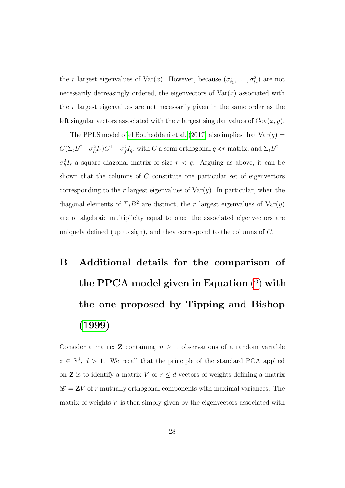the r largest eigenvalues of  $\text{Var}(x)$ . However, because  $(\sigma_{t_1}^2, \ldots, \sigma_{t_r}^2)$  are not necessarily decreasingly ordered, the eigenvectors of  $Var(x)$  associated with the  $r$  largest eigenvalues are not necessarily given in the same order as the left singular vectors associated with the r largest singular values of  $Cov(x, y)$ .

The PPLS model of [el Bouhaddani et al.](#page-23-0) [\(2017\)](#page-23-0) also implies that  $Var(y)$  =  $C(\Sigma_t B^2 + \sigma_h^2 I_r)C^\top + \sigma_f^2 I_q$ , with C a semi-orthogonal  $q \times r$  matrix, and  $\Sigma_t B^2 +$  $\sigma_h^2 I_r$  a square diagonal matrix of size  $r < q$ . Arguing as above, it can be shown that the columns of  $C$  constitute one particular set of eigenvectors corresponding to the r largest eigenvalues of  $Var(y)$ . In particular, when the diagonal elements of  $\Sigma_t B^2$  are distinct, the r largest eigenvalues of  $Var(y)$ are of algebraic multiplicity equal to one: the associated eigenvectors are uniquely defined (up to sign), and they correspond to the columns of  $C$ .

# <span id="page-27-0"></span>B Additional details for the comparison of the PPCA model given in Equation [\(2\)](#page-8-0) with the one proposed by [Tipping and Bishop](#page-25-2) [\(1999\)](#page-25-2)

Consider a matrix **Z** containing  $n \geq 1$  observations of a random variable  $z \in \mathbb{R}^d$ ,  $d > 1$ . We recall that the principle of the standard PCA applied on **Z** is to identify a matrix V or  $r \leq d$  vectors of weights defining a matrix  $\mathcal{Z} = \mathbf{Z}V$  of r mutually orthogonal components with maximal variances. The matrix of weights  $V$  is then simply given by the eigenvectors associated with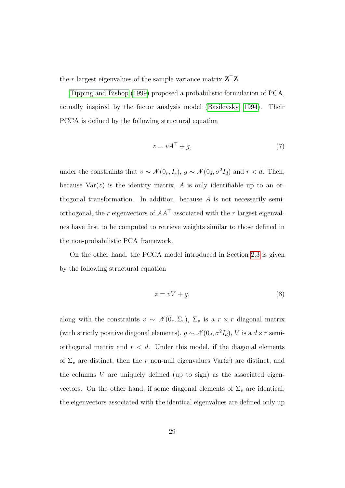the r largest eigenvalues of the sample variance matrix  $Z^{\top}Z$ .

[Tipping and Bishop](#page-25-2) [\(1999\)](#page-25-2) proposed a probabilistic formulation of PCA, actually inspired by the factor analysis model [\(Basilevsky, 1994\)](#page-22-5). Their PCCA is defined by the following structural equation

<span id="page-28-0"></span>
$$
z = vA^{\top} + g,\tag{7}
$$

under the constraints that  $v \sim \mathcal{N}(0_r, I_r)$ ,  $g \sim \mathcal{N}(0_d, \sigma^2 I_d)$  and  $r < d$ . Then, because  $Var(z)$  is the identity matrix, A is only identifiable up to an orthogonal transformation. In addition, because  $A$  is not necessarily semiorthogonal, the r eigenvectors of  $AA^{\dagger}$  associated with the r largest eigenvalues have first to be computed to retrieve weights similar to those defined in the non-probabilistic PCA framework.

On the other hand, the PCCA model introduced in Section [2.3](#page-10-0) is given by the following structural equation

<span id="page-28-1"></span>
$$
z = vV + g,\tag{8}
$$

along with the constraints  $v \sim \mathcal{N}(0_r, \Sigma_v)$ ,  $\Sigma_v$  is a  $r \times r$  diagonal matrix (with strictly positive diagonal elements),  $g \sim \mathcal{N}(0_d, \sigma^2 I_d)$ , V is a  $d \times r$  semiorthogonal matrix and  $r < d$ . Under this model, if the diagonal elements of  $\Sigma_v$  are distinct, then the r non-null eigenvalues  $Var(x)$  are distinct, and the columns  $V$  are uniquely defined (up to sign) as the associated eigenvectors. On the other hand, if some diagonal elements of  $\Sigma_v$  are identical, the eigenvectors associated with the identical eigenvalues are defined only up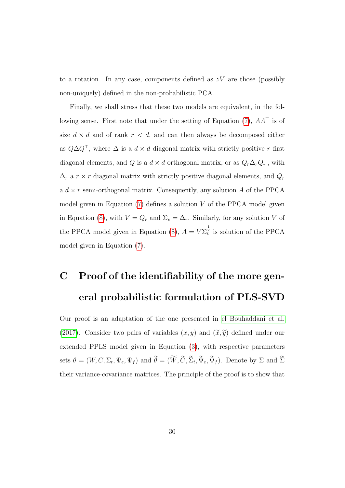to a rotation. In any case, components defined as  $zV$  are those (possibly non-uniquely) defined in the non-probabilistic PCA.

Finally, we shall stress that these two models are equivalent, in the fol-lowing sense. First note that under the setting of Equation [\(7\)](#page-28-0),  $AA^{\top}$  is of size  $d \times d$  and of rank  $r \times d$ , and can then always be decomposed either as  $Q\Delta Q^{\dagger}$ , where  $\Delta$  is a  $d \times d$  diagonal matrix with strictly positive r first diagonal elements, and Q is a  $d \times d$  orthogonal matrix, or as  $Q_r \Delta_r Q_r^{\top}$ , with  $\Delta_r$  a  $r \times r$  diagonal matrix with strictly positive diagonal elements, and  $Q_r$ a  $d \times r$  semi-orthogonal matrix. Consequently, any solution A of the PPCA model given in Equation  $(7)$  defines a solution V of the PPCA model given in Equation [\(8\)](#page-28-1), with  $V = Q_r$  and  $\Sigma_v = \Delta_r$ . Similarly, for any solution V of the PPCA model given in Equation [\(8\)](#page-28-1),  $A = V \Sigma_{v}^{\frac{1}{2}}$  is solution of the PPCA model given in Equation [\(7\)](#page-28-0).

## <span id="page-29-0"></span>C Proof of the identifiability of the more general probabilistic formulation of PLS-SVD

Our proof is an adaptation of the one presented in [el Bouhaddani et al.](#page-23-0) [\(2017\)](#page-23-0). Consider two pairs of variables  $(x, y)$  and  $(\tilde{x}, \tilde{y})$  defined under our extended PPLS model given in Equation [\(3\)](#page-11-0), with respective parameters sets  $\theta = (W, C, \Sigma_t, \Psi_e, \Psi_f)$  and  $\theta = (W, C, \Sigma_t, \Psi_e, \Psi_f)$ . Denote by  $\Sigma$  and  $\Sigma$ their variance-covariance matrices. The principle of the proof is to show that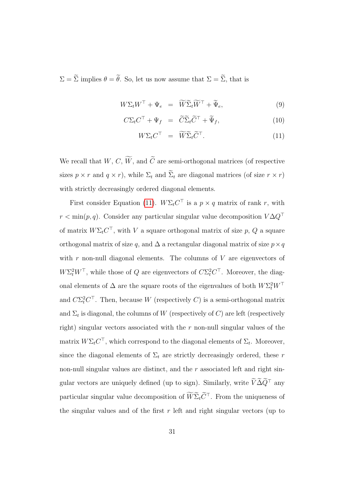$\Sigma = \widetilde{\Sigma}$  implies  $\theta = \widetilde{\theta}$ . So, let us now assume that  $\Sigma = \widetilde{\Sigma}$ , that is

<span id="page-30-0"></span>
$$
W\Sigma_t W^\top + \Psi_e = \widetilde{W}\widetilde{\Sigma}_t \widetilde{W}^\top + \widetilde{\Psi}_e,\tag{9}
$$

$$
C\Sigma_t C^\top + \Psi_f = \widetilde{C}\widetilde{\Sigma}_t \widetilde{C}^\top + \widetilde{\Psi}_f, \tag{10}
$$

$$
W\Sigma_t C^\top = \widetilde{W}\widetilde{\Sigma}_t \widetilde{C}^\top. \tag{11}
$$

We recall that  $W, C, \widetilde{W}$ , and  $\widetilde{C}$  are semi-orthogonal matrices (of respective sizes  $p \times r$  and  $q \times r$ , while  $\Sigma_t$  and  $\widetilde{\Sigma}_t$  are diagonal matrices (of size  $r \times r$ ) with strictly decreasingly ordered diagonal elements.

First consider Equation [\(11\)](#page-30-0).  $W\Sigma_t C^{\top}$  is a  $p \times q$  matrix of rank r, with  $r < \min(p, q)$ . Consider any particular singular value decomposition  $V \Delta Q^{\top}$ of matrix  $W\Sigma_t C^{\top}$ , with V a square orthogonal matrix of size p, Q a square orthogonal matrix of size q, and  $\Delta$  a rectangular diagonal matrix of size  $p \times q$ with  $r$  non-null diagonal elements. The columns of  $V$  are eigenvectors of  $W\Sigma_t^2 W^\top$ , while those of Q are eigenvectors of  $C\Sigma_t^2 C^\top$ . Moreover, the diagonal elements of  $\Delta$  are the square roots of the eigenvalues of both  $W \Sigma_t^2 W^\top$ and  $C\Sigma_t^2 C^{\top}$ . Then, because W (respectively C) is a semi-orthogonal matrix and  $\Sigma_t$  is diagonal, the columns of W (respectively of C) are left (respectively right) singular vectors associated with the  $r$  non-null singular values of the matrix  $W\Sigma_t C^{\top}$ , which correspond to the diagonal elements of  $\Sigma_t$ . Moreover, since the diagonal elements of  $\Sigma_t$  are strictly decreasingly ordered, these r non-null singular values are distinct, and the  $r$  associated left and right singular vectors are uniquely defined (up to sign). Similarly, write  $\widetilde{V}\widetilde{\Delta}\widetilde{Q}^{\top}$  any particular singular value decomposition of  $\widetilde{W} \widetilde{\Sigma}_t \widetilde{C}^\top$ . From the uniqueness of the singular values and of the first  $r$  left and right singular vectors (up to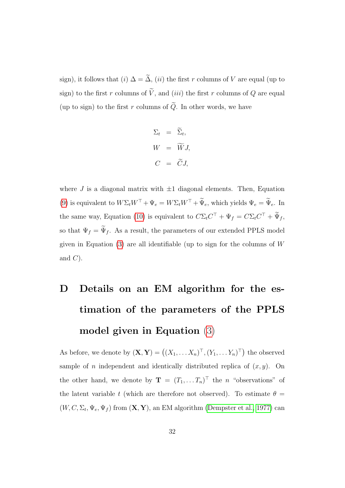sign), it follows that (i)  $\Delta = \tilde{\Delta}$ , (ii) the first r columns of V are equal (up to sign) to the first r columns of  $\tilde{V}$ , and (iii) the first r columns of Q are equal (up to sign) to the first  $r$  columns of  $\widetilde{Q}$ . In other words, we have

$$
\Sigma_t = \widetilde{\Sigma}_t,
$$
  
\n
$$
W = \widetilde{W}J,
$$
  
\n
$$
C = \widetilde{C}J,
$$

where J is a diagonal matrix with  $\pm 1$  diagonal elements. Then, Equation [\(9\)](#page-30-0) is equivalent to  $W\Sigma_t W^\top+\Psi_e = W\Sigma_t W^\top+\widetilde{\Psi}_e,$  which yields  $\Psi_e=\widetilde{\Psi}_e$ . In the same way, Equation [\(10\)](#page-30-0) is equivalent to  $C\Sigma_t C^{\top} + \Psi_f = C\Sigma_t C^{\top} + \Psi_f$ , so that  $\Psi_f = \widetilde{\Psi}_f$ . As a result, the parameters of our extended PPLS model given in Equation  $(3)$  are all identifiable (up to sign for the columns of W and  $C$ ).

## <span id="page-31-0"></span>D Details on an EM algorithm for the estimation of the parameters of the PPLS model given in Equation [\(3\)](#page-11-0)

As before, we denote by  $(\mathbf{X}, \mathbf{Y}) = ((X_1, \dots, X_n)^{\top}, (Y_1, \dots, Y_n)^{\top})$  the observed sample of *n* independent and identically distributed replica of  $(x, y)$ . On the other hand, we denote by  $\mathbf{T} = (T_1, \dots, T_n)^\top$  the *n* "observations" of the latent variable t (which are therefore not observed). To estimate  $\theta =$  $(W, C, \Sigma_t, \Psi_e, \Psi_f)$  from  $(\mathbf{X}, \mathbf{Y})$ , an EM algorithm [\(Dempster et al., 1977\)](#page-22-2) can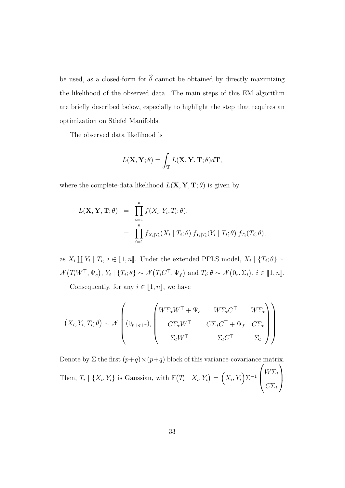be used, as a closed-form for  $\widehat{\theta}$  cannot be obtained by directly maximizing the likelihood of the observed data. The main steps of this EM algorithm are briefly described below, especially to highlight the step that requires an optimization on Stiefel Manifolds.

The observed data likelihood is

$$
L(\mathbf{X}, \mathbf{Y}; \theta) = \int_{\mathbf{T}} L(\mathbf{X}, \mathbf{Y}, \mathbf{T}; \theta) d\mathbf{T},
$$

where the complete-data likelihood  $L(X, Y, T; \theta)$  is given by

$$
L(\mathbf{X}, \mathbf{Y}, \mathbf{T}; \theta) = \prod_{i=1}^{n} f(X_i, Y_i, T_i; \theta),
$$
  
= 
$$
\prod_{i=1}^{n} f_{X_i|T_i}(X_i | T_i; \theta) f_{Y_i|T_i}(Y_i | T_i; \theta) f_{T_i}(T_i; \theta),
$$

as  $X_i \coprod Y_i | T_i, i \in [1, n]$ . Under the extended PPLS model,  $X_i | \{T_i; \theta\} \sim$  $\mathcal{N}(T_i W^\top, \Psi_e), Y_i \mid \{T_i; \theta\} \sim \mathcal{N}(T_i C^\top, \Psi_f) \text{ and } T_i; \theta \sim \mathcal{N}(0_r, \Sigma_t), i \in [\![1, n]\!].$ 

Consequently, for any  $i \in [1, n]$ , we have

$$
(X_i, Y_i, T_i; \theta) \sim \mathcal{N}\left((0_{p+q+r}), \begin{pmatrix} W\Sigma_t W^\top + \Psi_e & W\Sigma_t C^\top & W\Sigma_t \\ C\Sigma_t W^\top & C\Sigma_t C^\top + \Psi_f & C\Sigma_t \\ \Sigma_t W^\top & \Sigma_t C^\top & \Sigma_t \end{pmatrix}\right).
$$

Denote by  $\Sigma$  the first  $(p+q) \times (p+q)$  block of this variance-covariance matrix. Then,  $T_i \mid \{X_i, Y_i\}$  is Gaussian, with  $\mathbb{E}(T_i \mid X_i, Y_i) = (X_i, Y_i) \Sigma^{-1}$  $\sqrt{ }$  $\left\lfloor \right\rfloor$  $W\Sigma_t$  $C\Sigma_t$  $\setminus$  $\overline{\phantom{a}}$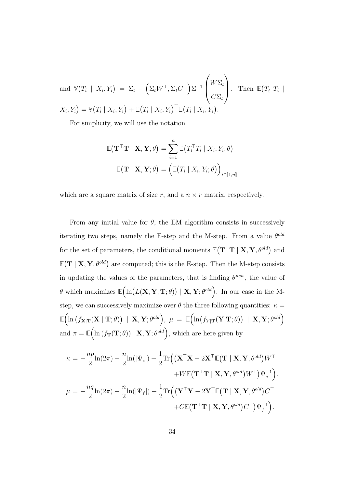and 
$$
\mathbb{V}(T_i | X_i, Y_i) = \Sigma_t - (\Sigma_t W^\top, \Sigma_t C^\top) \Sigma^{-1} \begin{pmatrix} W \Sigma_t \\ C \Sigma_t \end{pmatrix}
$$
. Then  $\mathbb{E}(T_i^\top T_i | X_i, Y_i) = \mathbb{V}(T_i | X_i, Y_i) + \mathbb{E}(T_i | X_i, Y_i)^\top \mathbb{E}(T_i | X_i, Y_i)$ .

For simplicity, we will use the notation

$$
\mathbb{E}(\mathbf{T}^{\top}\mathbf{T} \mid \mathbf{X}, \mathbf{Y}; \theta) = \sum_{i=1}^{n} \mathbb{E}(T_i^{\top} T_i \mid X_i, Y_i; \theta)
$$

$$
\mathbb{E}(\mathbf{T} \mid \mathbf{X}, \mathbf{Y}; \theta) = (\mathbb{E}(T_i \mid X_i, Y_i; \theta))_{i \in [\![1,n]\!]}
$$

which are a square matrix of size  $r$ , and a  $n \times r$  matrix, respectively.

From any initial value for  $\theta$ , the EM algorithm consists in successively iterating two steps, namely the E-step and the M-step. From a value  $\theta^{old}$ for the set of parameters, the conditional moments  $\mathbb{E}(\mathbf{T}^{\top}\mathbf{T} | \mathbf{X}, \mathbf{Y}, \theta^{old})$  and  $\mathbb{E}(\mathbf{T} \mid \mathbf{X}, \mathbf{Y}, \theta^{old})$  are computed; this is the E-step. Then the M-step consists in updating the values of the parameters, that is finding  $\theta^{new}$ , the value of  $\theta$  which maximizes  $\mathbb{E}(\ln(L(\mathbf{X}, \mathbf{Y}, \mathbf{T}; \theta)) | \mathbf{X}, \mathbf{Y}; \theta^{old})$ . In our case in the Mstep, we can successively maximize over  $\theta$  the three following quantities:  $\kappa =$  $\mathbb{E}\Bigl(\ln\bigl(f_{\mathbf{X}|\mathbf{T}}(\mathbf{X}\mid\mathbf{T};\theta)\bigr) \;\mid\; \mathbf{X},\mathbf{Y};\theta^{old}\Bigr),\; \mu \;=\; \mathbb{E}\Bigl(\ln\bigl(f_{Y|\mathbf{T}}(\mathbf{Y}|\mathbf{T};\theta)\bigr) \;\mid\; \mathbf{X},\mathbf{Y};\theta^{old}\Bigr)$ and  $\pi = \mathbb{E} \Big( \ln \big( f_{\mathbf{T}}(\mathbf{T}; \theta) \big) \vert \mathbf{X}, \mathbf{Y}; \theta^{old} \Big),$  which are here given by

$$
\kappa = -\frac{np}{2}\ln(2\pi) - \frac{n}{2}\ln(|\Psi_e|) - \frac{1}{2}\text{Tr}\Big(\big(\mathbf{X}^\top \mathbf{X} - 2\mathbf{X}^\top \mathbb{E}\big(\mathbf{T} \mid \mathbf{X}, \mathbf{Y}, \theta^{old}\big)W^\top \n+ W\mathbb{E}\big(\mathbf{T}^\top \mathbf{T} \mid \mathbf{X}, \mathbf{Y}, \theta^{old}\big)W^\top\big)\Psi_e^{-1}\Big).
$$
\n
$$
\mu = -\frac{nq}{2}\ln(2\pi) - \frac{n}{2}\ln(|\Psi_f|) - \frac{1}{2}\text{Tr}\Big(\big(\mathbf{Y}^\top \mathbf{Y} - 2\mathbf{Y}^\top \mathbb{E}\big(\mathbf{T} \mid \mathbf{X}, \mathbf{Y}, \theta^{old}\big)C^\top \n+ C\mathbb{E}\big(\mathbf{T}^\top \mathbf{T} \mid \mathbf{X}, \mathbf{Y}, \theta^{old}\big)C^\top\big)\Psi_f^{-1}\Big).
$$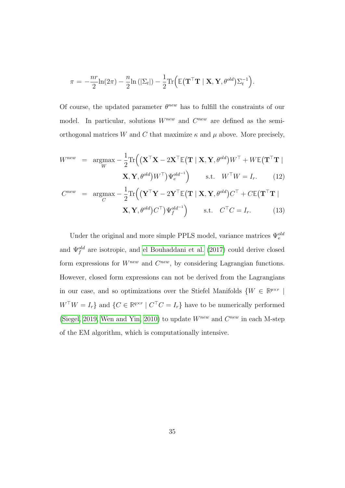$$
\pi = -\frac{nr}{2}\ln(2\pi) - \frac{n}{2}\ln(|\Sigma_t|) - \frac{1}{2}\text{Tr}\Big(\mathbb{E}(\mathbf{T}^\top \mathbf{T} | \mathbf{X}, \mathbf{Y}, \theta^{old})\Sigma_t^{-1}\Big).
$$

Of course, the updated parameter  $\theta^{new}$  has to fulfill the constraints of our model. In particular, solutions  $W^{new}$  and  $C^{new}$  are defined as the semiorthogonal matrices W and C that maximize  $\kappa$  and  $\mu$  above. More precisely,

$$
W^{new} = \underset{W}{\text{argmax}} - \frac{1}{2} \text{Tr} \left( \left( \mathbf{X}^{\top} \mathbf{X} - 2 \mathbf{X}^{\top} \mathbb{E} (\mathbf{T} \mid \mathbf{X}, \mathbf{Y}, \theta^{old}) W^{\top} + W \mathbb{E} (\mathbf{T}^{\top} \mathbf{T} \mid \mathbf{X}, \mathbf{Y}, \theta^{old}) W^{\top} \right) \mathbf{W}^{old-1} \right) \quad \text{s.t.} \quad W^{\top} W = I_r. \tag{12}
$$

$$
C^{new} = \underset{C}{\text{argmax}} -\frac{1}{2} \text{Tr}\left( (\mathbf{Y}^{\top} \mathbf{Y} - 2\mathbf{Y}^{\top} \mathbb{E}(\mathbf{T} \mid \mathbf{X}, \mathbf{Y}, \theta^{old}) C^{\top} + C \mathbb{E}(\mathbf{T}^{\top} \mathbf{T} \mid \mathbf{X}, \mathbf{Y}, \theta^{old}) C^{\top}) \mathbf{Y}_{f}^{old^{-1}} \right) \quad \text{s.t.} \quad C^{\top} C = I_{r}. \tag{13}
$$

Under the original and more simple PPLS model, variance matrices  $\Psi^{old}_e$ and  $\Psi_f^{old}$  are isotropic, and [el Bouhaddani et al.](#page-23-0) [\(2017\)](#page-23-0) could derive closed form expressions for  $W^{new}$  and  $C^{new}$ , by considering Lagrangian functions. However, closed form expressions can not be derived from the Lagrangians in our case, and so optimizations over the Stiefel Manifolds  $\{W \in \mathbb{R}^{p \times r} \mid \mathbb{R}^{p \times r} \mid \mathbb{R}^{p \times r} \mid \mathbb{R}^{p \times r} \mid \mathbb{R}^{p \times r} \mid \mathbb{R}^{p \times r} \mid \mathbb{R}^{p \times r} \mid \mathbb{R}^{p \times r} \mid \mathbb{R}^{p \times r} \mid \mathbb{R}^{p \times r} \mid \mathbb{R}^{p \times r} \mid$  $W^{\top}W = I_r$  and  $\{C \in \mathbb{R}^{q \times r} \mid C^{\top}C = I_r\}$  have to be numerically performed [\(Siegel, 2019,](#page-24-6) [Wen and Yin, 2010\)](#page-25-6) to update  $W^{new}$  and  $C^{new}$  in each M-step of the EM algorithm, which is computationally intensive.